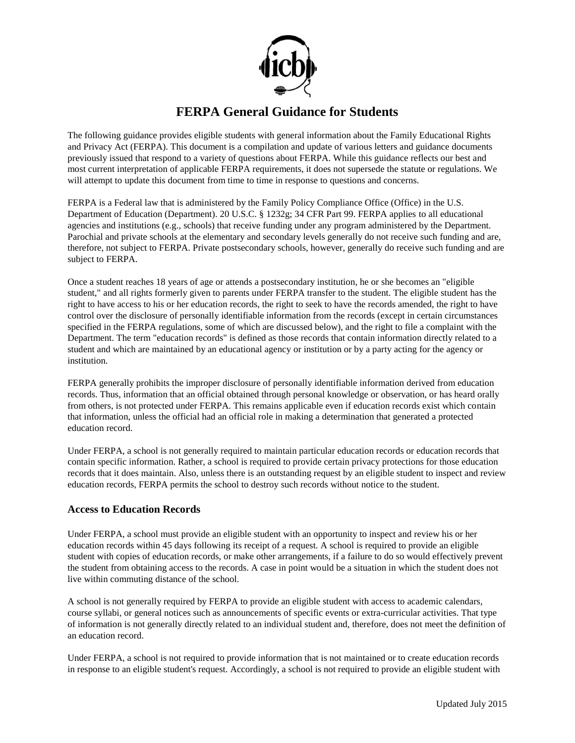

# **FERPA General Guidance for Students**

The following guidance provides eligible students with general information about the Family Educational Rights and Privacy Act (FERPA). This document is a compilation and update of various letters and guidance documents previously issued that respond to a variety of questions about FERPA. While this guidance reflects our best and most current interpretation of applicable FERPA requirements, it does not supersede the statute or regulations. We will attempt to update this document from time to time in response to questions and concerns.

FERPA is a Federal law that is administered by the Family Policy Compliance Office (Office) in the U.S. Department of Education (Department). 20 U.S.C. § 1232g; 34 CFR Part 99. FERPA applies to all educational agencies and institutions (e.g., schools) that receive funding under any program administered by the Department. Parochial and private schools at the elementary and secondary levels generally do not receive such funding and are, therefore, not subject to FERPA. Private postsecondary schools, however, generally do receive such funding and are subject to FERPA.

Once a student reaches 18 years of age or attends a postsecondary institution, he or she becomes an "eligible student," and all rights formerly given to parents under FERPA transfer to the student. The eligible student has the right to have access to his or her education records, the right to seek to have the records amended, the right to have control over the disclosure of personally identifiable information from the records (except in certain circumstances specified in the FERPA regulations, some of which are discussed below), and the right to file a complaint with the Department. The term "education records" is defined as those records that contain information directly related to a student and which are maintained by an educational agency or institution or by a party acting for the agency or institution.

FERPA generally prohibits the improper disclosure of personally identifiable information derived from education records. Thus, information that an official obtained through personal knowledge or observation, or has heard orally from others, is not protected under FERPA. This remains applicable even if education records exist which contain that information, unless the official had an official role in making a determination that generated a protected education record.

Under FERPA, a school is not generally required to maintain particular education records or education records that contain specific information. Rather, a school is required to provide certain privacy protections for those education records that it does maintain. Also, unless there is an outstanding request by an eligible student to inspect and review education records, FERPA permits the school to destroy such records without notice to the student.

### **Access to Education Records**

Under FERPA, a school must provide an eligible student with an opportunity to inspect and review his or her education records within 45 days following its receipt of a request. A school is required to provide an eligible student with copies of education records, or make other arrangements, if a failure to do so would effectively prevent the student from obtaining access to the records. A case in point would be a situation in which the student does not live within commuting distance of the school.

A school is not generally required by FERPA to provide an eligible student with access to academic calendars, course syllabi, or general notices such as announcements of specific events or extra-curricular activities. That type of information is not generally directly related to an individual student and, therefore, does not meet the definition of an education record.

Under FERPA, a school is not required to provide information that is not maintained or to create education records in response to an eligible student's request. Accordingly, a school is not required to provide an eligible student with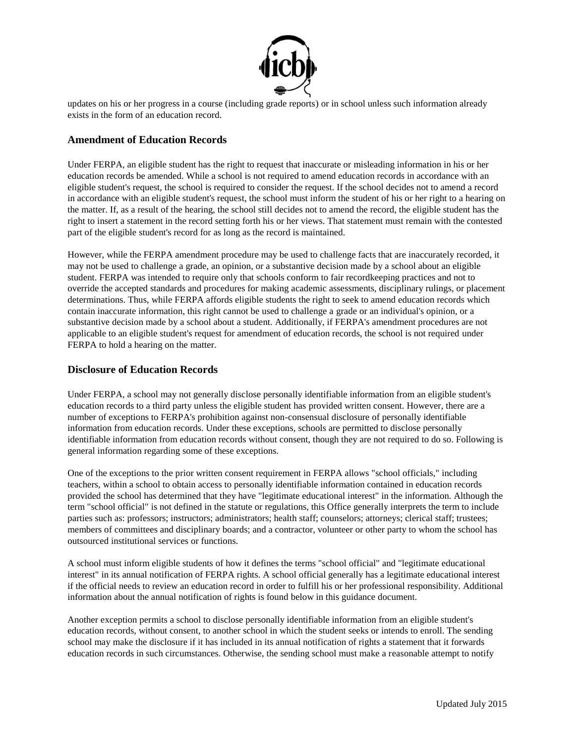

updates on his or her progress in a course (including grade reports) or in school unless such information already exists in the form of an education record.

## **Amendment of Education Records**

Under FERPA, an eligible student has the right to request that inaccurate or misleading information in his or her education records be amended. While a school is not required to amend education records in accordance with an eligible student's request, the school is required to consider the request. If the school decides not to amend a record in accordance with an eligible student's request, the school must inform the student of his or her right to a hearing on the matter. If, as a result of the hearing, the school still decides not to amend the record, the eligible student has the right to insert a statement in the record setting forth his or her views. That statement must remain with the contested part of the eligible student's record for as long as the record is maintained.

However, while the FERPA amendment procedure may be used to challenge facts that are inaccurately recorded, it may not be used to challenge a grade, an opinion, or a substantive decision made by a school about an eligible student. FERPA was intended to require only that schools conform to fair recordkeeping practices and not to override the accepted standards and procedures for making academic assessments, disciplinary rulings, or placement determinations. Thus, while FERPA affords eligible students the right to seek to amend education records which contain inaccurate information, this right cannot be used to challenge a grade or an individual's opinion, or a substantive decision made by a school about a student. Additionally, if FERPA's amendment procedures are not applicable to an eligible student's request for amendment of education records, the school is not required under FERPA to hold a hearing on the matter.

## **Disclosure of Education Records**

Under FERPA, a school may not generally disclose personally identifiable information from an eligible student's education records to a third party unless the eligible student has provided written consent. However, there are a number of exceptions to FERPA's prohibition against non-consensual disclosure of personally identifiable information from education records. Under these exceptions, schools are permitted to disclose personally identifiable information from education records without consent, though they are not required to do so. Following is general information regarding some of these exceptions.

One of the exceptions to the prior written consent requirement in FERPA allows "school officials," including teachers, within a school to obtain access to personally identifiable information contained in education records provided the school has determined that they have "legitimate educational interest" in the information. Although the term "school official" is not defined in the statute or regulations, this Office generally interprets the term to include parties such as: professors; instructors; administrators; health staff; counselors; attorneys; clerical staff; trustees; members of committees and disciplinary boards; and a contractor, volunteer or other party to whom the school has outsourced institutional services or functions.

A school must inform eligible students of how it defines the terms "school official" and "legitimate educational interest" in its annual notification of FERPA rights. A school official generally has a legitimate educational interest if the official needs to review an education record in order to fulfill his or her professional responsibility. Additional information about the annual notification of rights is found below in this guidance document.

Another exception permits a school to disclose personally identifiable information from an eligible student's education records, without consent, to another school in which the student seeks or intends to enroll. The sending school may make the disclosure if it has included in its annual notification of rights a statement that it forwards education records in such circumstances. Otherwise, the sending school must make a reasonable attempt to notify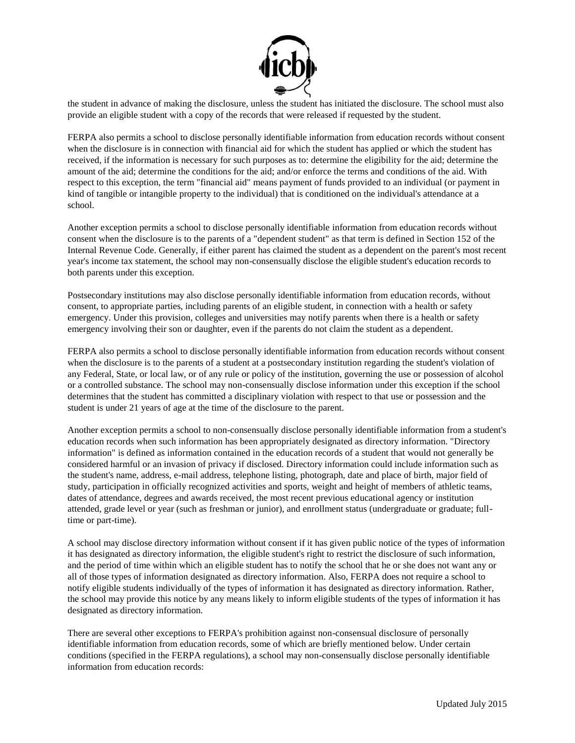

the student in advance of making the disclosure, unless the student has initiated the disclosure. The school must also provide an eligible student with a copy of the records that were released if requested by the student.

FERPA also permits a school to disclose personally identifiable information from education records without consent when the disclosure is in connection with financial aid for which the student has applied or which the student has received, if the information is necessary for such purposes as to: determine the eligibility for the aid; determine the amount of the aid; determine the conditions for the aid; and/or enforce the terms and conditions of the aid. With respect to this exception, the term "financial aid" means payment of funds provided to an individual (or payment in kind of tangible or intangible property to the individual) that is conditioned on the individual's attendance at a school.

Another exception permits a school to disclose personally identifiable information from education records without consent when the disclosure is to the parents of a "dependent student" as that term is defined in Section 152 of the Internal Revenue Code. Generally, if either parent has claimed the student as a dependent on the parent's most recent year's income tax statement, the school may non-consensually disclose the eligible student's education records to both parents under this exception.

Postsecondary institutions may also disclose personally identifiable information from education records, without consent, to appropriate parties, including parents of an eligible student, in connection with a health or safety emergency. Under this provision, colleges and universities may notify parents when there is a health or safety emergency involving their son or daughter, even if the parents do not claim the student as a dependent.

FERPA also permits a school to disclose personally identifiable information from education records without consent when the disclosure is to the parents of a student at a postsecondary institution regarding the student's violation of any Federal, State, or local law, or of any rule or policy of the institution, governing the use or possession of alcohol or a controlled substance. The school may non-consensually disclose information under this exception if the school determines that the student has committed a disciplinary violation with respect to that use or possession and the student is under 21 years of age at the time of the disclosure to the parent.

Another exception permits a school to non-consensually disclose personally identifiable information from a student's education records when such information has been appropriately designated as directory information. "Directory information" is defined as information contained in the education records of a student that would not generally be considered harmful or an invasion of privacy if disclosed. Directory information could include information such as the student's name, address, e-mail address, telephone listing, photograph, date and place of birth, major field of study, participation in officially recognized activities and sports, weight and height of members of athletic teams, dates of attendance, degrees and awards received, the most recent previous educational agency or institution attended, grade level or year (such as freshman or junior), and enrollment status (undergraduate or graduate; fulltime or part-time).

A school may disclose directory information without consent if it has given public notice of the types of information it has designated as directory information, the eligible student's right to restrict the disclosure of such information, and the period of time within which an eligible student has to notify the school that he or she does not want any or all of those types of information designated as directory information. Also, FERPA does not require a school to notify eligible students individually of the types of information it has designated as directory information. Rather, the school may provide this notice by any means likely to inform eligible students of the types of information it has designated as directory information.

There are several other exceptions to FERPA's prohibition against non-consensual disclosure of personally identifiable information from education records, some of which are briefly mentioned below. Under certain conditions (specified in the FERPA regulations), a school may non-consensually disclose personally identifiable information from education records: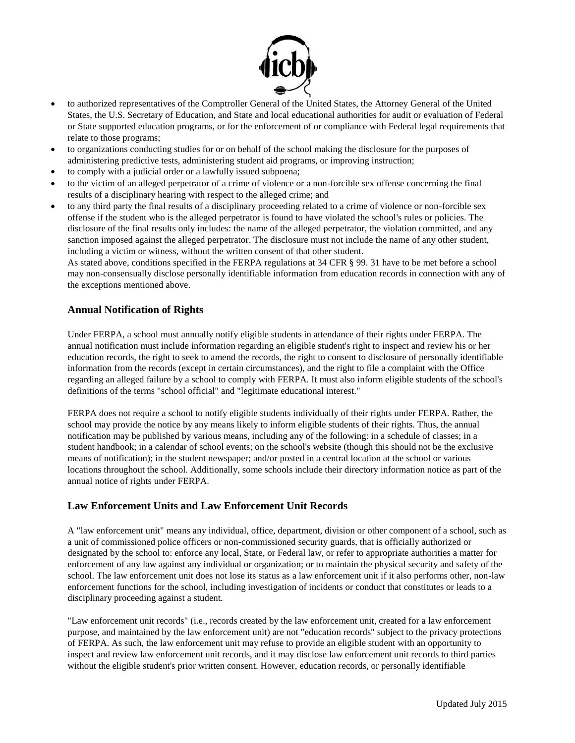

- to authorized representatives of the Comptroller General of the United States, the Attorney General of the United States, the U.S. Secretary of Education, and State and local educational authorities for audit or evaluation of Federal or State supported education programs, or for the enforcement of or compliance with Federal legal requirements that relate to those programs;
- to organizations conducting studies for or on behalf of the school making the disclosure for the purposes of administering predictive tests, administering student aid programs, or improving instruction;
- to comply with a judicial order or a lawfully issued subpoena;
- to the victim of an alleged perpetrator of a crime of violence or a non-forcible sex offense concerning the final results of a disciplinary hearing with respect to the alleged crime; and
- to any third party the final results of a disciplinary proceeding related to a crime of violence or non-forcible sex offense if the student who is the alleged perpetrator is found to have violated the school's rules or policies. The disclosure of the final results only includes: the name of the alleged perpetrator, the violation committed, and any sanction imposed against the alleged perpetrator. The disclosure must not include the name of any other student, including a victim or witness, without the written consent of that other student.

As stated above, conditions specified in the FERPA regulations at 34 CFR § 99. 31 have to be met before a school may non-consensually disclose personally identifiable information from education records in connection with any of the exceptions mentioned above.

## **Annual Notification of Rights**

Under FERPA, a school must annually notify eligible students in attendance of their rights under FERPA. The annual notification must include information regarding an eligible student's right to inspect and review his or her education records, the right to seek to amend the records, the right to consent to disclosure of personally identifiable information from the records (except in certain circumstances), and the right to file a complaint with the Office regarding an alleged failure by a school to comply with FERPA. It must also inform eligible students of the school's definitions of the terms "school official" and "legitimate educational interest."

FERPA does not require a school to notify eligible students individually of their rights under FERPA. Rather, the school may provide the notice by any means likely to inform eligible students of their rights. Thus, the annual notification may be published by various means, including any of the following: in a schedule of classes; in a student handbook; in a calendar of school events; on the school's website (though this should not be the exclusive means of notification); in the student newspaper; and/or posted in a central location at the school or various locations throughout the school. Additionally, some schools include their directory information notice as part of the annual notice of rights under FERPA.

## **Law Enforcement Units and Law Enforcement Unit Records**

A "law enforcement unit" means any individual, office, department, division or other component of a school, such as a unit of commissioned police officers or non-commissioned security guards, that is officially authorized or designated by the school to: enforce any local, State, or Federal law, or refer to appropriate authorities a matter for enforcement of any law against any individual or organization; or to maintain the physical security and safety of the school. The law enforcement unit does not lose its status as a law enforcement unit if it also performs other, non-law enforcement functions for the school, including investigation of incidents or conduct that constitutes or leads to a disciplinary proceeding against a student.

"Law enforcement unit records" (i.e., records created by the law enforcement unit, created for a law enforcement purpose, and maintained by the law enforcement unit) are not "education records" subject to the privacy protections of FERPA. As such, the law enforcement unit may refuse to provide an eligible student with an opportunity to inspect and review law enforcement unit records, and it may disclose law enforcement unit records to third parties without the eligible student's prior written consent. However, education records, or personally identifiable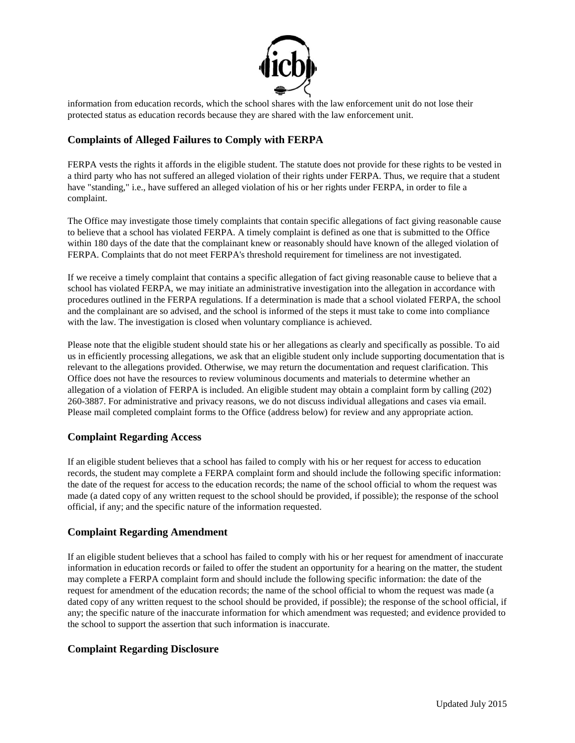

information from education records, which the school shares with the law enforcement unit do not lose their protected status as education records because they are shared with the law enforcement unit.

## **Complaints of Alleged Failures to Comply with FERPA**

FERPA vests the rights it affords in the eligible student. The statute does not provide for these rights to be vested in a third party who has not suffered an alleged violation of their rights under FERPA. Thus, we require that a student have "standing," i.e., have suffered an alleged violation of his or her rights under FERPA, in order to file a complaint.

The Office may investigate those timely complaints that contain specific allegations of fact giving reasonable cause to believe that a school has violated FERPA. A timely complaint is defined as one that is submitted to the Office within 180 days of the date that the complainant knew or reasonably should have known of the alleged violation of FERPA. Complaints that do not meet FERPA's threshold requirement for timeliness are not investigated.

If we receive a timely complaint that contains a specific allegation of fact giving reasonable cause to believe that a school has violated FERPA, we may initiate an administrative investigation into the allegation in accordance with procedures outlined in the FERPA regulations. If a determination is made that a school violated FERPA, the school and the complainant are so advised, and the school is informed of the steps it must take to come into compliance with the law. The investigation is closed when voluntary compliance is achieved.

Please note that the eligible student should state his or her allegations as clearly and specifically as possible. To aid us in efficiently processing allegations, we ask that an eligible student only include supporting documentation that is relevant to the allegations provided. Otherwise, we may return the documentation and request clarification. This Office does not have the resources to review voluminous documents and materials to determine whether an allegation of a violation of FERPA is included. An eligible student may obtain a complaint form by calling (202) 260-3887. For administrative and privacy reasons, we do not discuss individual allegations and cases via email. Please mail completed complaint forms to the Office (address below) for review and any appropriate action.

### **Complaint Regarding Access**

If an eligible student believes that a school has failed to comply with his or her request for access to education records, the student may complete a FERPA complaint form and should include the following specific information: the date of the request for access to the education records; the name of the school official to whom the request was made (a dated copy of any written request to the school should be provided, if possible); the response of the school official, if any; and the specific nature of the information requested.

### **Complaint Regarding Amendment**

If an eligible student believes that a school has failed to comply with his or her request for amendment of inaccurate information in education records or failed to offer the student an opportunity for a hearing on the matter, the student may complete a FERPA complaint form and should include the following specific information: the date of the request for amendment of the education records; the name of the school official to whom the request was made (a dated copy of any written request to the school should be provided, if possible); the response of the school official, if any; the specific nature of the inaccurate information for which amendment was requested; and evidence provided to the school to support the assertion that such information is inaccurate.

### **Complaint Regarding Disclosure**